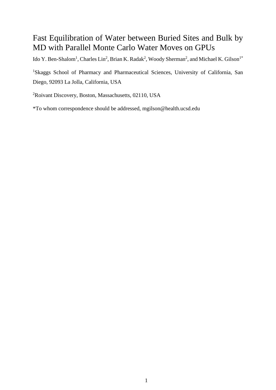## Fast Equilibration of Water between Buried Sites and Bulk by MD with Parallel Monte Carlo Water Moves on GPUs

Ido Y. Ben-Shalom<sup>1</sup>, Charles Lin<sup>2</sup>, Brian K. Radak<sup>2</sup>, Woody Sherman<sup>2</sup>, and Michael K. Gilson<sup>1\*</sup>

<sup>1</sup>Skaggs School of Pharmacy and Pharmaceutical Sciences, University of California, San Diego, 92093 La Jolla, California, USA

<sup>2</sup>Roivant Discovery, Boston, Massachusetts, 02110, USA

\*To whom correspondence should be addressed, mgilson@health.ucsd.edu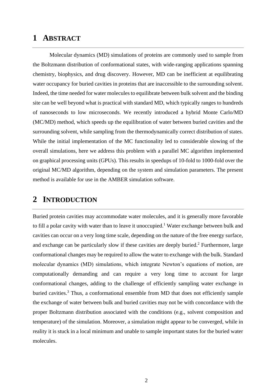## **1 ABSTRACT**

Molecular dynamics (MD) simulations of proteins are commonly used to sample from the Boltzmann distribution of conformational states, with wide-ranging applications spanning chemistry, biophysics, and drug discovery. However, MD can be inefficient at equilibrating water occupancy for buried cavities in proteins that are inaccessible to the surrounding solvent. Indeed, the time needed for water molecules to equilibrate between bulk solvent and the binding site can be well beyond what is practical with standard MD, which typically ranges to hundreds of nanoseconds to low microseconds. We recently introduced a hybrid Monte Carlo/MD (MC/MD) method, which speeds up the equilibration of water between buried cavities and the surrounding solvent, while sampling from the thermodynamically correct distribution of states. While the initial implementation of the MC functionality led to considerable slowing of the overall simulations, here we address this problem with a parallel MC algorithm implemented on graphical processing units (GPUs). This results in speedups of 10-fold to 1000-fold over the original MC/MD algorithm, depending on the system and simulation parameters. The present method is available for use in the AMBER simulation software.

## **2 INTRODUCTION**

Buried protein cavities may accommodate water molecules, and it is generally more favorable to fill a polar cavity with water than to leave it unoccupied.<sup>1</sup> Water exchange between bulk and cavities can occur on a very long time scale, depending on the nature of the free energy surface, and exchange can be particularly slow if these cavities are deeply buried.<sup>2</sup> Furthermore, large conformational changes may be required to allow the water to exchange with the bulk. Standard molecular dynamics (MD) simulations, which integrate Newton's equations of motion, are computationally demanding and can require a very long time to account for large conformational changes, adding to the challenge of efficiently sampling water exchange in buried cavities.<sup>3</sup> Thus, a conformational ensemble from MD that does not efficiently sample the exchange of water between bulk and buried cavities may not be with concordance with the proper Boltzmann distribution associated with the conditions (e.g., solvent composition and temperature) of the simulation. Moreover, a simulation might appear to be converged, while in reality it is stuck in a local minimum and unable to sample important states for the buried water molecules.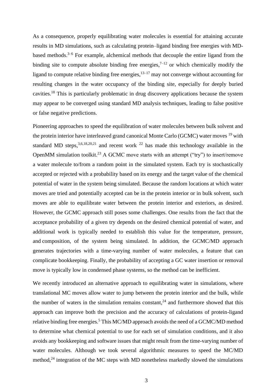As a consequence, properly equilibrating water molecules is essential for attaining accurate results in MD simulations, such as calculating protein–ligand binding free energies with MDbased methods.<sup>3–6</sup> For example, alchemical methods that decouple the entire ligand from the binding site to compute absolute binding free energies,  $7^{-12}$  or which chemically modify the ligand to compute relative binding free energies, $13-17$  may not converge without accounting for resulting changes in the water occupancy of the binding site, especially for deeply buried cavities.<sup>18</sup> This is particularly problematic in drug discovery applications because the system may appear to be converged using standard MD analysis techniques, leading to false positive or false negative predictions.

Pioneering approaches to speed the equilibration of water molecules between bulk solvent and the protein interior have interleaved grand canonical Monte Carlo (GCMC) water moves <sup>19</sup> with standard MD steps,  $3,6,18,20,21$  and recent work  $22$  has made this technology available in the OpenMM simulation toolkit.<sup>23</sup> A GCMC move starts with an attempt ("try") to insert/remove a water molecule to/from a random point in the simulated system. Each try is stochastically accepted or rejected with a probability based on its energy and the target value of the chemical potential of water in the system being simulated. Because the random locations at which water moves are tried and potentially accepted can be in the protein interior or in bulk solvent, such moves are able to equilibrate water between the protein interior and exteriors, as desired. However, the GCMC approach still poses some challenges. One results from the fact that the acceptance probability of a given try depends on the desired chemical potential of water, and additional work is typically needed to establish this value for the temperature, pressure, and composition, of the system being simulated. In addition, the GCMC/MD approach generates trajectories with a time-varying number of water molecules, a feature that can complicate bookkeeping. Finally, the probability of accepting a GC water insertion or removal move is typically low in condensed phase systems, so the method can be inefficient.

We recently introduced an alternative approach to equilibrating water in simulations, where translational MC moves allow water to jump between the protein interior and the bulk, while the number of waters in the simulation remains constant,  $24$  and furthermore showed that this approach can improve both the precision and the accuracy of calculations of protein-ligand relative binding free energies.<sup>5</sup> This MC/MD approach avoids the need of a GCMC/MD method to determine what chemical potential to use for each set of simulation conditions, and it also avoids any bookkeeping and software issues that might result from the time-varying number of water molecules. Although we took several algorithmic measures to speed the MC/MD method,<sup>24</sup> integration of the MC steps with MD nonetheless markedly slowed the simulations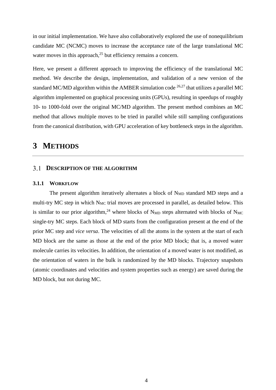in our initial implementation. We have also collaboratively explored the use of nonequilibrium candidate MC (NCMC) moves to increase the acceptance rate of the large translational MC water moves in this approach,<sup>25</sup> but efficiency remains a concern.

Here, we present a different approach to improving the efficiency of the translational MC method. We describe the design, implementation, and validation of a new version of the standard MC/MD algorithm within the AMBER simulation code  $^{26,27}$  that utilizes a parallel MC algorithm implemented on graphical processing units (GPUs), resulting in speedups of roughly 10- to 1000-fold over the original MC/MD algorithm. The present method combines an MC method that allows multiple moves to be tried in parallel while still sampling configurations from the canonical distribution, with GPU acceleration of key bottleneck steps in the algorithm.

## **3 METHODS**

#### **3.1 DESCRIPTION OF THE ALGORITHM**

#### **3.1.1 WORKFLOW**

The present algorithm iteratively alternates a block of N<sub>MD</sub> standard MD steps and a multi-try MC step in which  $N_{MC}$  trial moves are processed in parallel, as detailed below. This is similar to our prior algorithm,<sup>24</sup> where blocks of N<sub>MD</sub> steps alternated with blocks of N<sub>MC</sub> single-try MC steps. Each block of MD starts from the configuration present at the end of the prior MC step and *vice versa*. The velocities of all the atoms in the system at the start of each MD block are the same as those at the end of the prior MD block; that is, a moved water molecule carries its velocities. In addition, the orientation of a moved water is not modified, as the orientation of waters in the bulk is randomized by the MD blocks. Trajectory snapshots (atomic coordinates and velocities and system properties such as energy) are saved during the MD block, but not during MC.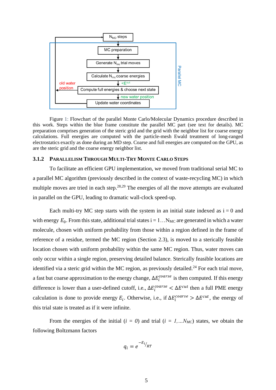

Figure 1: Flowchart of the parallel Monte Carlo/Molecular Dynamics procedure described in this work. Steps within the blue frame constitute the parallel MC part (see text for details). MC preparation comprises generation of the steric grid and the grid with the neighbor list for coarse energy calculations. Full energies are computed with the particle-mesh Ewald treatment of long-ranged electrostatics exactly as done during an MD step. Coarse and full energies are computed on the GPU, as are the steric grid and the coarse energy neighbor list.

#### **3.1.2 PARALLELISM THROUGH MULTI-TRY MONTE CARLO STEPS**

To facilitate an efficient GPU implementation, we moved from traditional serial MC to a parallel MC algorithm (previously described in the context of waste-recycling MC) in which multiple moves are tried in each step.<sup>28,29</sup> The energies of all the move attempts are evaluated in parallel on the GPU, leading to dramatic wall-clock speed-up.

Each multi-try MC step starts with the system in an initial state indexed as  $i = 0$  and with energy  $E_0$ . From this state, additional trial states  $i = 1...N_{MC}$  are generated in which a water molecule, chosen with uniform probability from those within a region defined in the frame of reference of a residue, termed the MC region (Section 2.3), is moved to a sterically feasible location chosen with uniform probability within the same MC region. Thus, water moves can only occur within a single region, preserving detailed balance. Sterically feasible locations are identified via a steric grid within the MC region, as previously detailed.<sup>24</sup> For each trial move, a fast but coarse approximation to the energy change,  $\Delta E_i^{coarse}$  is then computed. If this energy difference is lower than a user-defined cutoff, i.e.,  $\Delta E_i^{coarse} < \Delta E^{cut}$  then a full PME energy calculation is done to provide energy  $E_i$ . Otherwise, i.e., if  $\Delta E_i^{coarse} > \Delta E^{cut}$ , the energy of this trial state is treated as if it were infinite.

From the energies of the initial  $(i = 0)$  and trial  $(i = 1, \ldots N_{MC})$  states, we obtain the following Boltzmann factors

$$
q_i = e^{-E_i}/RT}
$$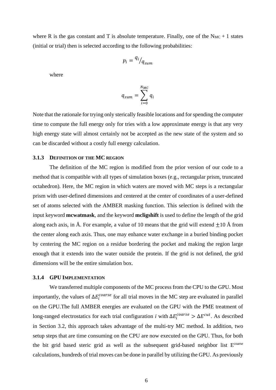where R is the gas constant and T is absolute temperature. Finally, one of the  $N_{MC} + 1$  states (initial or trial) then is selected according to the following probabilities:

$$
p_i = \frac{q_i}{q_{sum}}
$$

where

$$
q_{sum} = \sum_{i=0}^{N_{MC}} q_i
$$

Note that the rationale for trying only sterically feasible locations and for spending the computer time to compute the full energy only for tries with a low approximate energy is that any very high energy state will almost certainly not be accepted as the new state of the system and so can be discarded without a costly full energy calculation.

#### **3.1.3 DEFINITION OF THE MC REGION**

The definition of the MC region is modified from the prior version of our code to a method that is compatible with all types of simulation boxes (e.g., rectangular prism, truncated octahedron). Here, the MC region in which waters are moved with MC steps is a rectangular prism with user-defined dimensions and centered at the center of coordinates of a user-defined set of atoms selected with the AMBER masking function. This selection is defined with the input keyword **mcwatmask**, and the keyword **mcligshift** is used to define the length of the grid along each axis, in Å. For example, a value of 10 means that the grid will extend  $\pm 10$  Å from the center along each axis. Thus, one may enhance water exchange in a buried binding pocket by centering the MC region on a residue bordering the pocket and making the region large enough that it extends into the water outside the protein. If the grid is not defined, the grid dimensions will be the entire simulation box.

#### **3.1.4 GPU IMPLEMENTATION**

We transferred multiple components of the MC process from the CPU to the GPU. Most importantly, the values of  $\Delta E_i^{coarse}$  for all trial moves in the MC step are evaluated in parallel on the GPU.The full AMBER energies are evaluated on the GPU with the PME treatment of long-ranged electrostatics for each trial configuration *i* with  $\Delta E_i^{coarse} > \Delta E^{cut}$ . As described in Section 3.2, this approach takes advantage of the multi-try MC method. In addition, two setup steps that are time consuming on the CPU are now executed on the GPU. Thus, for both the bit grid based steric grid as well as the subsequent grid-based neighbor list E<sup>coarse</sup> calculations, hundreds of trial moves can be done in parallel by utilizing the GPU. As previously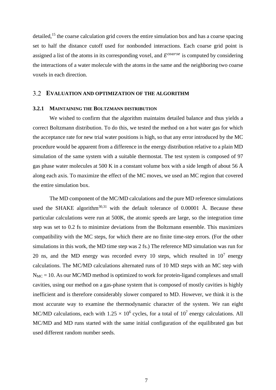detailed,<sup>15</sup> the coarse calculation grid covers the entire simulation box and has a coarse spacing set to half the distance cutoff used for nonbonded interactions. Each coarse grid point is assigned a list of the atoms in its corresponding voxel, and  $E^{coarse}$  is computed by considering the interactions of a water molecule with the atoms in the same and the neighboring two coarse voxels in each direction.

#### **EVALUATION AND OPTIMIZATION OF THE ALGORITHM**

#### **3.2.1 MAINTAINING THE BOLTZMANN DISTRIBUTION**

We wished to confirm that the algorithm maintains detailed balance and thus yields a correct Boltzmann distribution. To do this, we tested the method on a hot water gas for which the acceptance rate for new trial water positions is high, so that any error introduced by the MC procedure would be apparent from a difference in the energy distribution relative to a plain MD simulation of the same system with a suitable thermostat. The test system is composed of 97 gas phase water molecules at 500 K in a constant volume box with a side length of about 56  $\AA$ along each axis. To maximize the effect of the MC moves, we used an MC region that covered the entire simulation box.

The MD component of the MC/MD calculations and the pure MD reference simulations used the SHAKE algorithm<sup>30,31</sup> with the default tolerance of 0.00001 Å. Because these particular calculations were run at 500K, the atomic speeds are large, so the integration time step was set to 0.2 fs to minimize deviations from the Boltzmann ensemble. This maximizes compatibility with the MC steps, for which there are no finite time-step errors. (For the other simulations in this work, the MD time step was 2 fs.) The reference MD simulation was run for 20 ns, and the MD energy was recorded every 10 steps, which resulted in  $10^7$  energy calculations. The MC/MD calculations alternated runs of 10 MD steps with an MC step with  $N_{MC} = 10$ . As our MC/MD method is optimized to work for protein-ligand complexes and small cavities, using our method on a gas-phase system that is composed of mostly cavities is highly inefficient and is therefore considerably slower compared to MD. However, we think it is the most accurate way to examine the thermodynamic character of the system. We ran eight MC/MD calculations, each with  $1.25 \times 10^6$  cycles, for a total of  $10^7$  energy calculations. All MC/MD and MD runs started with the same initial configuration of the equilibrated gas but used different random number seeds.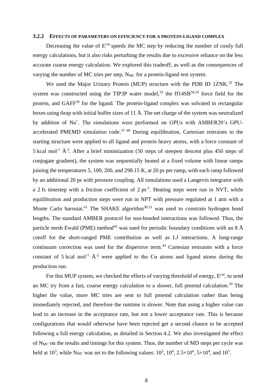#### **3.2.2 EFFECTS OF PARAMETERS ON EFFICIENCY FOR A PROTEIN-LIGAND COMPLEX**

Decreasing the value of E<sup>cut</sup> speeds the MC step by reducing the number of costly full energy calculations, but it also risks perturbing the results due to excessive reliance on the less accurate coarse energy calculation. We explored this tradeoff, as well as the consequences of varying the number of MC tries per step,  $N_{MC}$  for a protein-ligand test system.

We used the Major Urinary Protein (MUP) structure with the PDB ID 1ZNK.<sup>32</sup> The system was constructed using the TIP3P water model, $33$  the ff14SB $34,35$  force field for the protein, and GAFF<sup>36</sup> for the ligand. The protein-ligand complex was solvated in rectangular boxes using tleap with initial buffer sizes of 11 Å. The net charge of the system was neutralized by addition of Na<sup>+</sup>. The simulations were performed on GPUs with AMBER20's GPUaccelerated PMEMD simulation code.<sup>37-40</sup> During equilibration, Cartesian restraints to the starting structure were applied to all ligand and protein heavy atoms, with a force constant of 5 kcal mol<sup>-1</sup>  $\AA$ <sup>-2</sup>. After a brief minimization (50 steps of steepest descent plus 450 steps of conjugate gradient), the system was sequentially heated at a fixed volume with linear ramps joining the temperatures 5, 100, 200, and 298.15 K, at 20 ps per ramp, with each ramp followed by an additional 20 ps with pressure coupling. All simulations used a Langevin integrator with a 2 fs timestep with a friction coefficient of  $2 \text{ ps}^{-1}$ . Heating steps were run in NVT, while equilibration and production steps were run in NPT with pressure regulated at 1 atm with a Monte Carlo barostat.<sup>41</sup> The SHAKE algorithm<sup>30,31</sup> was used to constrain hydrogen bond lengths. The standard AMBER protocol for non-bonded interactions was followed. Thus, the particle mesh Ewald (PME) method<sup>42</sup> was used for periodic boundary conditions with an 8  $\AA$ cutoff for the short-ranged PME contribution as well as LJ interactions. A long-range continuum correction was used for the dispersive term.<sup>43</sup> Cartesian restraints with a force constant of 5 kcal mol<sup>-1</sup>  $\AA$ <sup>-2</sup> were applied to the C $\alpha$  atoms and ligand atoms during the production run.

For this MUP system, we checked the effects of varying threshold of energy,  $E<sup>cut</sup>$ , to send an MC try from a fast, coarse energy calculation to a slower, full pmemd calculation.<sup>24</sup> The higher the value, more MC tries are sent to full pmemd calculation rather than being immediately rejected, and therefore the runtime is slower. Note that using a higher value can lead to an increase in the acceptance rate, but not a lower acceptance rate. This is because configurations that would otherwise have been rejected get a second chance to be accepted following a full energy calculation, as detailed in Section [4.2.](#page-9-0) We also investigated the effect of  $N_{MC}$  on the results and timings for this system. Thus, the number of MD steps per cycle was held at 10<sup>3</sup>, while N<sub>MC</sub> was set to the following values:  $10^3$ ,  $10^4$ ,  $2.5 \times 10^4$ ,  $5 \times 10^4$ , and  $10^5$ .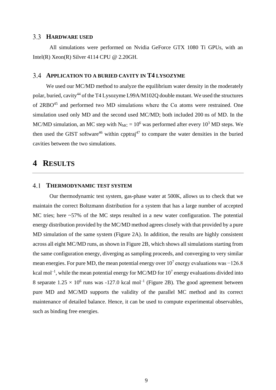#### **HARDWARE USED**

All simulations were performed on Nvidia GeForce GTX 1080 Ti GPUs, with an Intel(R) Xeon(R) Silver 4114 CPU @ 2.20GH.

#### **APPLICATION TO A BURIED CAVITY IN T4 LYSOZYME**

We used our MC/MD method to analyze the equilibrium water density in the moderately polar, buried, cavity<sup>44</sup> of the T4 Lysozyme L99A/M102Q double mutant. We used the structures of 2RBO<sup>45</sup> and performed two MD simulations where the C $\alpha$  atoms were restrained. One simulation used only MD and the second used MC/MD; both included 200 ns of MD. In the MC/MD simulation, an MC step with  $N_{MC} = 10^6$  was performed after every 10<sup>3</sup> MD steps. We then used the GIST software<sup>46</sup> within cpptraj<sup>47</sup> to compare the water densities in the buried cavities between the two simulations.

## **4 RESULTS**

#### **THERMODYNAMIC TEST SYSTEM**

Our thermodynamic test system, gas-phase water at 500K, allows us to check that we maintain the correct Boltzmann distribution for a system that has a large number of accepted MC tries; here ~57% of the MC steps resulted in a new water configuration. The potential energy distribution provided by the MC/MD method agrees closely with that provided by a pure MD simulation of the same system (Figure 2A). In addition, the results are highly consistent across all eight MC/MD runs, as shown in Figure 2B, which shows all simulations starting from the same configuration energy, diverging as sampling proceeds, and converging to very similar mean energies. For pure MD, the mean potential energy over 10<sup>7</sup> energy evaluations was  $-126.8$ kcal mol<sup>-1</sup>, while the mean potential energy for MC/MD for  $10^7$  energy evaluations divided into 8 separate  $1.25 \times 10^6$  runs was -127.0 kcal mol<sup>-1</sup> (Figure 2B). The good agreement between pure MD and MC/MD supports the validity of the parallel MC method and its correct maintenance of detailed balance. Hence, it can be used to compute experimental observables, such as binding free energies.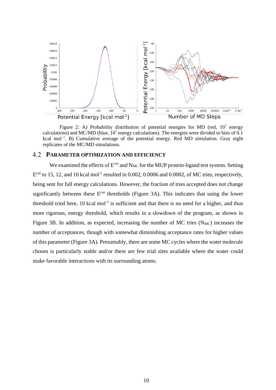

Figure 2: A) Probability distribution of potential energies for MD (red,  $10^7$  energy calculations) and MC/MD (blue,  $10<sup>7</sup>$  energy calculations). The energies were divided to bins of 0.1 kcal mol<sup>-1</sup>. B) Cumulative average of the potential energy. Red MD simulation. Gray eight replicates of the MC/MD simulations.

### <span id="page-9-0"></span>**PARAMETER OPTIMIZATION AND EFFICIENCY**

We examined the effects of  $E^{cut}$  and  $N_{MC}$  for the MUP protein-ligand test system. Setting  $E^{\text{cut}}$  to 15, 12, and 10 kcal mol<sup>-1</sup> resulted in 0.002, 0.0006 and 0.0002, of MC tries, respectively, being sent for full energy calculations. However, the fraction of tries accepted does not change significantly between these E<sup>cut</sup> thresholds (Figure 3A). This indicates that using the lower threshold tried here,  $10$  kcal mol<sup>-1</sup> is sufficient and that there is no need for a higher, and thus more rigorous, energy threshold, which results in a slowdown of the program, as shown in Figure 3B. In addition, as expected, increasing the number of MC tries  $(N_{MC})$  increases the number of acceptances, though with somewhat diminishing acceptance rates for higher values of this parameter (Figure 3A). Presumably, there are some MC cycles where the water molecule chosen is particularly stable and/or there are few trial sites available where the water could make favorable interactions with its surrounding atoms.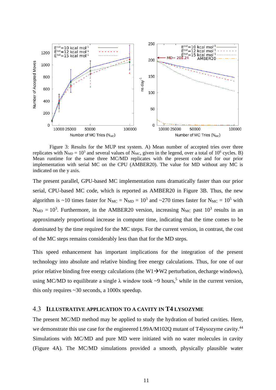

Figure 3: Results for the MUP test system. A) Mean number of accepted tries over three replicates with  $N_{MD} = 10^3$  and several values of  $N_{MC}$ , given in the legend, over a total of 10<sup>6</sup> cycles. B) Mean runtime for the same three MC/MD replicates with the present code and for our prior implementation with serial MC on the CPU (AMBER20). The value for MD without any MC is indicated on the y axis.

The present parallel, GPU-based MC implementation runs dramatically faster than our prior serial, CPU-based MC code, which is reported as AMBER20 in Figure 3B. Thus, the new algorithm is ~10 times faster for  $N_{MC} = N_{MD} = 10^3$  and ~270 times faster for  $N_{MC} = 10^5$  with  $N_{MD} = 10^3$ . Furthermore, in the AMBER20 version, increasing  $N_{MC}$  past  $10^3$  results in an approximately proportional increase in computer time, indicating that the time comes to be dominated by the time required for the MC steps. For the current version, in contrast, the cost of the MC steps remains considerably less than that for the MD steps.

This speed enhancement has important implications for the integration of the present technology into absolute and relative binding free energy calculations. Thus, for one of our prior relative binding free energy calculations (the W1 $\rightarrow$ W2 perturbation, decharge windows), using MC/MD to equilibrate a single  $\lambda$  window took ~9 hours,<sup>5</sup> while in the current version, this only requires ~30 seconds, a 1000x speedup.

#### **ILLUSTRATIVE APPLICATION TO A CAVITY IN T4 LYSOZYME** 4.3

The present MC/MD method may be applied to study the hydration of buried cavities. Here, we demonstrate this use case for the engineered L99A/M102Q mutant of T4lysozyme cavity.<sup>44</sup> Simulations with MC/MD and pure MD were initiated with no water molecules in cavity (Figure 4A). The MC/MD simulations provided a smooth, physically plausible water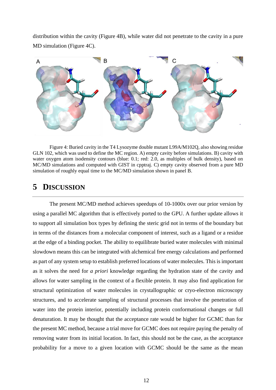distribution within the cavity (Figure 4B), while water did not penetrate to the cavity in a pure MD simulation (Figure 4C).



Figure 4: Buried cavity in the T4 Lysozyme double mutant L99A/M102Q, also showing residue GLN 102, which was used to define the MC region. A) empty cavity before simulations. B) cavity with water oxygen atom isodensity contours (blue: 0.1; red: 2.0, as multiples of bulk density), based on MC/MD simulations and computed with GIST in cpptraj. C) empty cavity observed from a pure MD simulation of roughly equal time to the MC/MD simulation shown in panel B.

## **5 DISCUSSION**

The present MC/MD method achieves speedups of 10-1000x over our prior version by using a parallel MC algorithm that is effectively ported to the GPU. A further update allows it to support all simulation box types by defining the steric grid not in terms of the boundary but in terms of the distances from a molecular component of interest, such as a ligand or a residue at the edge of a binding pocket. The ability to equilibrate buried water molecules with minimal slowdown means this can be integrated with alchemical free energy calculations and performed as part of any system setup to establish preferred locations of water molecules. This is important as it solves the need for *a priori* knowledge regarding the hydration state of the cavity and allows for water sampling in the context of a flexible protein. It may also find application for structural optimization of water molecules in crystallographic or cryo-electron microscopy structures, and to accelerate sampling of structural processes that involve the penetration of water into the protein interior, potentially including protein conformational changes or full denaturation. It may be thought that the acceptance rate would be higher for GCMC than for the present MC method, because a trial move for GCMC does not require paying the penalty of removing water from its initial location. In fact, this should not be the case, as the acceptance probability for a move to a given location with GCMC should be the same as the mean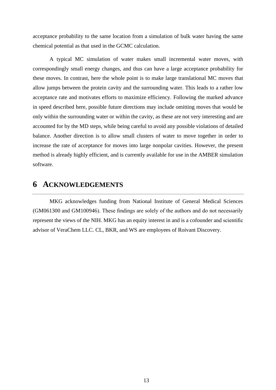acceptance probability to the same location from a simulation of bulk water having the same chemical potential as that used in the GCMC calculation.

A typical MC simulation of water makes small incremental water moves, with correspondingly small energy changes, and thus can have a large acceptance probability for these moves. In contrast, here the whole point is to make large translational MC moves that allow jumps between the protein cavity and the surrounding water. This leads to a rather low acceptance rate and motivates efforts to maximize efficiency. Following the marked advance in speed described here, possible future directions may include omitting moves that would be only within the surrounding water or within the cavity, as these are not very interesting and are accounted for by the MD steps, while being careful to avoid any possible violations of detailed balance. Another direction is to allow small clusters of water to move together in order to increase the rate of acceptance for moves into large nonpolar cavities. However, the present method is already highly efficient, and is currently available for use in the AMBER simulation software.

## **6 ACKNOWLEDGEMENTS**

MKG acknowledges funding from National Institute of General Medical Sciences (GM061300 and GM100946). These findings are solely of the authors and do not necessarily represent the views of the NIH. MKG has an equity interest in and is a cofounder and scientific advisor of VeraChem LLC. CL, BKR, and WS are employees of Roivant Discovery.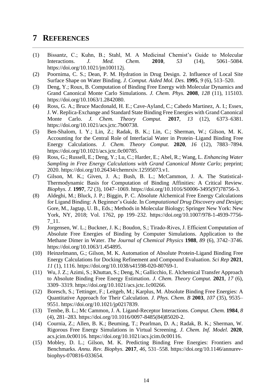## **7 REFERENCES**

- (1) Bissantz, C.; Kuhn, B.; Stahl, M. A Medicinal Chemist's Guide to Molecular Interactions. *J. Med. Chem.* **2010**, *53* (14), 5061–5084. https://doi.org/10.1021/jm100112j.
- (2) Poornima, C. S.; Dean, P. M. Hydration in Drug Design. 2. Influence of Local Site Surface Shape on Water Binding. *J. Comput. Aided Mol. Des.* **1995**, *9* (6), 513–520.
- (3) Deng, Y.; Roux, B. Computation of Binding Free Energy with Molecular Dynamics and Grand Canonical Monte Carlo Simulations. *J. Chem. Phys.* **2008**, *128* (11), 115103. https://doi.org/10.1063/1.2842080.
- (4) Ross, G. A.; Bruce Macdonald, H. E.; Cave-Ayland, C.; Cabedo Martinez, A. I.; Essex, J. W. Replica-Exchange and Standard State Binding Free Energies with Grand Canonical Monte Carlo. *J. Chem. Theory Comput.* **2017**, *13* (12), 6373–6381. https://doi.org/10.1021/acs.jctc.7b00738.
- (5) Ben-Shalom, I. Y.; Lin, Z.; Radak, B. K.; Lin, C.; Sherman, W.; Gilson, M. K. Accounting for the Central Role of Interfacial Water in Protein–Ligand Binding Free Energy Calculations. *J. Chem. Theory Comput.* **2020**, *16* (12), 7883–7894. https://doi.org/10.1021/acs.jctc.0c00785.
- (6) Ross, G.; Russell, E.; Deng, Y.; Lu, C.; Harder, E.; Abel, R.; Wang, L. *Enhancing Water Sampling in Free Energy Calculations with Grand Canonical Monte Carlo*; preprint; 2020. https://doi.org/10.26434/chemrxiv.12595073.v1.
- (7) Gilson, M. K.; Given, J. A.; Bush, B. L.; McCammon, J. A. The Statistical-Thermodynamic Basis for Computation of Binding Affinities: A Critical Review. *Biophys. J.* **1997**, *72* (3), 1047–1069. https://doi.org/10.1016/S0006-3495(97)78756-3.
- (8) Aldeghi, M.; Bluck, J. P.; Biggin, P. C. Absolute Alchemical Free Energy Calculations for Ligand Binding: A Beginner's Guide. In *Computational Drug Discovery and Design*; Gore, M., Jagtap, U. B., Eds.; Methods in Molecular Biology; Springer New York: New York, NY, 2018; Vol. 1762, pp 199–232. https://doi.org/10.1007/978-1-4939-7756- 7\_11.
- (9) Jorgensen, W. L.; Buckner, J. K.; Boudon, S.; Tirado‐Rives, J. Efficient Computation of Absolute Free Energies of Binding by Computer Simulations. Application to the Methane Dimer in Water. *The Journal of Chemical Physics* **1988**, *89* (6), 3742–3746. https://doi.org/10.1063/1.454895.
- (10) Heinzelmann, G.; Gilson, M. K. Automation of Absolute Protein-Ligand Binding Free Energy Calculations for Docking Refinement and Compound Evaluation. *Sci Rep* **2021**, *11* (1), 1116. https://doi.org/10.1038/s41598-020-80769-1.
- (11) Wu, J. Z.; Azimi, S.; Khuttan, S.; Deng, N.; Gallicchio, E. Alchemical Transfer Approach to Absolute Binding Free Energy Estimation. *J. Chem. Theory Comput.* **2021**, *17* (6), 3309–3319. https://doi.org/10.1021/acs.jctc.1c00266.
- (12) Boresch, S.; Tettinger, F.; Leitgeb, M.; Karplus, M. Absolute Binding Free Energies: A Quantitative Approach for Their Calculation. *J. Phys. Chem. B* **2003**, *107* (35), 9535– 9551. https://doi.org/10.1021/jp0217839.
- (13) Tembe, B. L.; Mc Cammon, J. A. Ligand-Receptor Interactions. *Comput. Chem.* **1984**, *8* (4), 281–283. https://doi.org/10.1016/0097-8485(84)85020-2.
- (14) Cournia, Z.; Allen, B. K.; Beuming, T.; Pearlman, D. A.; Radak, B. K.; Sherman, W. Rigorous Free Energy Simulations in Virtual Screening. *J. Chem. Inf. Model.* **2020**, acs.jcim.0c00116. https://doi.org/10.1021/acs.jcim.0c00116.
- (15) Mobley, D. L.; Gilson, M. K. Predicting Binding Free Energies: Frontiers and Benchmarks. *Annu. Rev. Biophys.* **2017**, *46*, 531–558. https://doi.org/10.1146/annurevbiophys-070816-033654.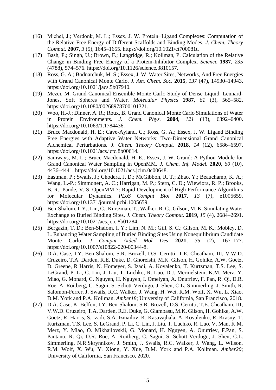- (16) Michel, J.; Verdonk, M. L.; Essex, J. W. Protein−Ligand Complexes: Computation of the Relative Free Energy of Different Scaffolds and Binding Modes. *J. Chem. Theory Comput.* **2007**, *3* (5), 1645–1655. https://doi.org/10.1021/ct700081t.
- (17) Bash, P.; Singh, U.; Brown, F.; Langridge, R.; Kollman, P. Calculation of the Relative Change in Binding Free Energy of a Protein-Inhibitor Complex. *Science* **1987**, *235* (4788), 574–576. https://doi.org/10.1126/science.3810157.
- (18) Ross, G. A.; Bodnarchuk, M. S.; Essex, J. W. Water Sites, Networks, And Free Energies with Grand Canonical Monte Carlo. *J. Am. Chem. Soc.* **2015**, *137* (47), 14930–14943. https://doi.org/10.1021/jacs.5b07940.
- (19) Mezei, M. Grand-Canonical Ensemble Monte Carlo Study of Dense Liquid: Lennard-Jones, Soft Spheres and Water. *Molecular Physics* **1987**, *61* (3), 565–582. https://doi.org/10.1080/00268978700101321.
- (20) Woo, H.-J.; Dinner, A. R.; Roux, B. Grand Canonical Monte Carlo Simulations of Water in Protein Environments. *J. Chem. Phys.* **2004**, *121* (13), 6392–6400. https://doi.org/10.1063/1.1784436.
- (21) Bruce Macdonald, H. E.; Cave-Ayland, C.; Ross, G. A.; Essex, J. W. Ligand Binding Free Energies with Adaptive Water Networks: Two-Dimensional Grand Canonical Alchemical Perturbations. *J. Chem. Theory Comput.* **2018**, *14* (12), 6586–6597. https://doi.org/10.1021/acs.jctc.8b00614.
- (22) Samways, M. L.; Bruce Macdonald, H. E.; Essex, J. W. Grand: A Python Module for Grand Canonical Water Sampling in OpenMM. *J. Chem. Inf. Model.* **2020**, *60* (10), 4436–4441. https://doi.org/10.1021/acs.jcim.0c00648.
- (23) Eastman, P.; Swails, J.; Chodera, J. D.; McGibbon, R. T.; Zhao, Y.; Beauchamp, K. A.; Wang, L.-P.; Simmonett, A. C.; Harrigan, M. P.; Stern, C. D.; Wiewiora, R. P.; Brooks, B. R.; Pande, V. S. OpenMM 7: Rapid Development of High Performance Algorithms for Molecular Dynamics. *PLoS Comput Biol* **2017**, *13* (7), e1005659. https://doi.org/10.1371/journal.pcbi.1005659.
- (24) Ben-Shalom, I. Y.; Lin, C.; Kurtzman, T.; Walker, R. C.; Gilson, M. K. Simulating Water Exchange to Buried Binding Sites. *J. Chem. Theory Comput.* **2019**, *15* (4), 2684–2691. https://doi.org/10.1021/acs.jctc.8b01284.
- (25) Bergazin, T. D.; Ben-Shalom, I. Y.; Lim, N. M.; Gill, S. C.; Gilson, M. K.; Mobley, D. L. Enhancing Water Sampling of Buried Binding Sites Using Nonequilibrium Candidate Monte Carlo. *J Comput Aided Mol Des* **2021**, *35* (2), 167–177. https://doi.org/10.1007/s10822-020-00344-8.
- (26) D.A. Case, I.Y. Ben-Shalom, S.R. Brozell, D.S. Cerutti, T.E. Cheatham, III, V.W.D. Cruzeiro, T.A. Darden, R.E. Duke, D. Ghoreishi, M.K. Gilson, H. Gohlke, A.W. Goetz, D. Greene, R Harris, N. Homeyer, S. Izadi, A. Kovalenko, T. Kurtzman, T.S. Lee, S. LeGrand, P. Li, C. Lin, J. Liu, T. Luchko, R. Luo, D.J. Mermelstein, K.M. Merz, Y. Miao, G. Monard, C. Nguyen, H. Nguyen, I. Omelyan, A. Onufriev, F. Pan, R. Qi, D.R. Roe, A. Roitberg, C. Sagui, S. Schott-Verdugo, J. Shen, C.L. Simmerling, J. Smith, R. Salomon-Ferrer, J. Swails, R.C. Walker, J. Wang, H. Wei, R.M. Wolf, X. Wu, L. Xiao, D.M. York and P.A. Kollman. *Amber18*; University of California, San Francisco, 2018.
- (27) D.A. Case, K. Belfon, I.Y. Ben-Shalom, S.R. Brozell, D.S. Cerutti, T.E. Cheatham, III, V.W.D. Cruzeiro, T.A. Darden, R.E. Duke, G. Giambasu, M.K. Gilson, H. Gohlke, A.W. Goetz, R. Harris, S. Izadi, S.A. Izmailov, K. Kasavajhala, A. Kovalenko, R. Krasny, T. Kurtzman, T.S. Lee, S. LeGrand, P. Li, C. Lin, J. Liu, T. Luchko, R. Luo, V. Man, K.M. Merz, Y. Miao, O. Mikhailovskii, G. Monard, H. Nguyen, A. Onufriev, F.Pan, S. Pantano, R. Qi, D.R. Roe, A. Roitberg, C. Sagui, S. Schott-Verdugo, J. Shen, C.L. Simmerling, N.R.Skrynnikov, J. Smith, J. Swails, R.C. Walker, J. Wang, L. Wilson, R.M. Wolf, X. Wu, Y. Xiong, Y. Xue, D.M. York and P.A. Kollman. *Amber20*; University of California, San Francisco, 2020.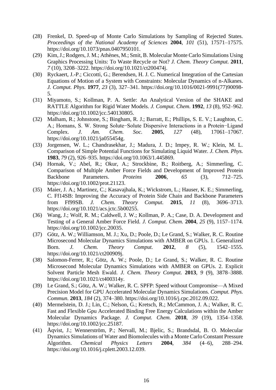- (28) Frenkel, D. Speed-up of Monte Carlo Simulations by Sampling of Rejected States. *Proceedings of the National Academy of Sciences* **2004**, *101* (51), 17571–17575. https://doi.org/10.1073/pnas.0407950101.
- (29) Kim, J.; Rodgers, J. M.; Athènes, M.; Smit, B. Molecular Monte Carlo Simulations Using Graphics Processing Units: To Waste Recycle or Not? *J. Chem. Theory Comput.* **2011**, *7* (10), 3208–3222. https://doi.org/10.1021/ct200474j.
- (30) Ryckaert, J.-P.; Ciccotti, G.; Berendsen, H. J. C. Numerical Integration of the Cartesian Equations of Motion of a System with Constraints: Molecular Dynamics of n-Alkanes. *J. Comput. Phys.* **1977**, *23* (3), 327–341. https://doi.org/10.1016/0021-9991(77)90098- 5.
- (31) Miyamoto, S.; Kollman, P. A. Settle: An Analytical Version of the SHAKE and RATTLE Algorithm for Rigid Water Models. *J. Comput. Chem.* **1992**, *13* (8), 952–962. https://doi.org/10.1002/jcc.540130805.
- (32) Malham, R.; Johnstone, S.; Bingham, R. J.; Barratt, E.; Phillips, S. E. V.; Laughton, C. A.; Homans, S. W. Strong Solute−Solute Dispersive Interactions in a Protein−Ligand Complex. *J. Am. Chem. Soc.* **2005**, *127* (48), 17061–17067. https://doi.org/10.1021/ja055454g.
- (33) Jorgensen, W. L.; Chandrasekhar, J.; Madura, J. D.; Impey, R. W.; Klein, M. L. Comparison of Simple Potential Functions for Simulating Liquid Water. *J. Chem. Phys.* **1983**, *79* (2), 926–935. https://doi.org/10.1063/1.445869.
- (34) Hornak, V.; Abel, R.; Okur, A.; Strockbine, B.; Roitberg, A.; Simmerling, C. Comparison of Multiple Amber Force Fields and Development of Improved Protein Backbone Parameters. *Proteins* **2006**, *65* (3), 712–725. https://doi.org/10.1002/prot.21123.
- (35) Maier, J. A.; Martinez, C.; Kasavajhala, K.; Wickstrom, L.; Hauser, K. E.; Simmerling, C. Ff14SB: Improving the Accuracy of Protein Side Chain and Backbone Parameters from Ff99SB. *J. Chem. Theory Comput.* **2015**, *11* (8), 3696–3713. https://doi.org/10.1021/acs.jctc.5b00255.
- (36) Wang, J.; Wolf, R. M.; Caldwell, J. W.; Kollman, P. A.; Case, D. A. Development and Testing of a General Amber Force Field. *J. Comput. Chem.* **2004**, *25* (9), 1157–1174. https://doi.org/10.1002/jcc.20035.
- (37) Götz, A. W.; Williamson, M. J.; Xu, D.; Poole, D.; Le Grand, S.; Walker, R. C. Routine Microsecond Molecular Dynamics Simulations with AMBER on GPUs. 1. Generalized Born. *J. Chem. Theory Comput.* **2012**, *8* (5), 1542–1555. https://doi.org/10.1021/ct200909j.
- (38) Salomon-Ferrer, R.; Götz, A. W.; Poole, D.; Le Grand, S.; Walker, R. C. Routine Microsecond Molecular Dynamics Simulations with AMBER on GPUs. 2. Explicit Solvent Particle Mesh Ewald. *J. Chem. Theory Comput.* **2013**, *9* (9), 3878–3888. https://doi.org/10.1021/ct400314y.
- (39) Le Grand, S.; Götz, A. W.; Walker, R. C. SPFP: Speed without Compromise—A Mixed Precision Model for GPU Accelerated Molecular Dynamics Simulations. *Comput. Phys. Commun.* **2013**, *184* (2), 374–380. https://doi.org/10.1016/j.cpc.2012.09.022.
- (40) Mermelstein, D. J.; Lin, C.; Nelson, G.; Kretsch, R.; McCammon, J. A.; Walker, R. C. Fast and Flexible Gpu Accelerated Binding Free Energy Calculations within the Amber Molecular Dynamics Package. *J. Comput. Chem.* **2018**, *39* (19), 1354–1358. https://doi.org/10.1002/jcc.25187.
- (41) Åqvist, J.; Wennerström, P.; Nervall, M.; Bjelic, S.; Brandsdal, B. O. Molecular Dynamics Simulations of Water and Biomolecules with a Monte Carlo Constant Pressure Algorithm. *Chemical Physics Letters* **2004**, *384* (4–6), 288–294. https://doi.org/10.1016/j.cplett.2003.12.039.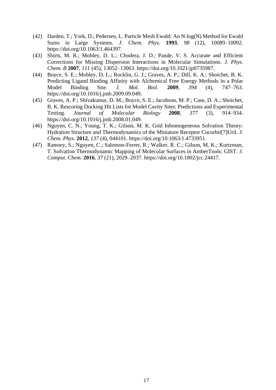- (42) Darden, T.; York, D.; Pedersen, L. Particle Mesh Ewald: An N⋅log(N) Method for Ewald Sums in Large Systems. *J. Chem. Phys.* **1993**, *98* (12), 10089–10092. https://doi.org/10.1063/1.464397.
- (43) Shirts, M. R.; Mobley, D. L.; Chodera, J. D.; Pande, V. S. Accurate and Efficient Corrections for Missing Dispersion Interactions in Molecular Simulations. *J. Phys. Chem. B* **2007**, *111* (45), 13052–13063. https://doi.org/10.1021/jp0735987.
- (44) Boyce, S. E.; Mobley, D. L.; Rocklin, G. J.; Graves, A. P.; Dill, K. A.; Shoichet, B. K. Predicting Ligand Binding Affinity with Alchemical Free Energy Methods in a Polar Model Binding Site. *J. Mol. Biol.* **2009**, *394* (4), 747–763. https://doi.org/10.1016/j.jmb.2009.09.049.
- (45) Graves, A. P.; Shivakumar, D. M.; Boyce, S. E.; Jacobson, M. P.; Case, D. A.; Shoichet, B. K. Rescoring Docking Hit Lists for Model Cavity Sites: Predictions and Experimental Testing. *Journal of Molecular Biology* **2008**, *377* (3), 914–934. https://doi.org/10.1016/j.jmb.2008.01.049.
- (46) Nguyen, C. N.; Young, T. K.; Gilson, M. K. Grid Inhomogeneous Solvation Theory: Hydration Structure and Thermodynamics of the Miniature Receptor Cucurbit[7]Uril. *J. Chem. Phys.* **2012**, *137* (4), 044101. https://doi.org/10.1063/1.4733951.
- (47) Ramsey, S.; Nguyen, C.; Salomon-Ferrer, R.; Walker, R. C.; Gilson, M. K.; Kurtzman, T. Solvation Thermodynamic Mapping of Molecular Surfaces in AmberTools: GIST. *J. Comput. Chem.* **2016**, *37* (21), 2029–2037. https://doi.org/10.1002/jcc.24417.